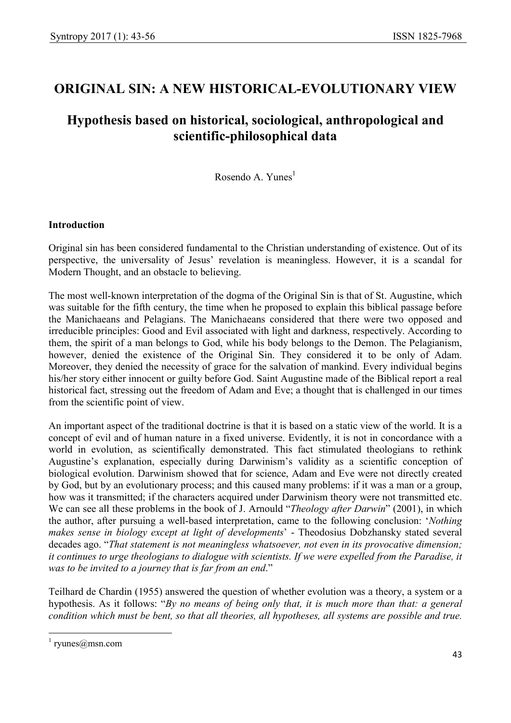# ORIGINAL SIN: A NEW HISTORICAL-EVOLUTIONARY VIEW

# Hypothesis based on historical, sociological, anthropological and scientific-philosophical data

Rosendo A. Yunes<sup>1</sup>

## Introduction

Original sin has been considered fundamental to the Christian understanding of existence. Out of its perspective, the universality of Jesus' revelation is meaningless. However, it is a scandal for Modern Thought, and an obstacle to believing.

The most well-known interpretation of the dogma of the Original Sin is that of St. Augustine, which was suitable for the fifth century, the time when he proposed to explain this biblical passage before the Manichaeans and Pelagians. The Manichaeans considered that there were two opposed and irreducible principles: Good and Evil associated with light and darkness, respectively. According to them, the spirit of a man belongs to God, while his body belongs to the Demon. The Pelagianism, however, denied the existence of the Original Sin. They considered it to be only of Adam. Moreover, they denied the necessity of grace for the salvation of mankind. Every individual begins his/her story either innocent or guilty before God. Saint Augustine made of the Biblical report a real historical fact, stressing out the freedom of Adam and Eve; a thought that is challenged in our times from the scientific point of view.

An important aspect of the traditional doctrine is that it is based on a static view of the world. It is a concept of evil and of human nature in a fixed universe. Evidently, it is not in concordance with a world in evolution, as scientifically demonstrated. This fact stimulated theologians to rethink Augustine's explanation, especially during Darwinism's validity as a scientific conception of biological evolution. Darwinism showed that for science, Adam and Eve were not directly created by God, but by an evolutionary process; and this caused many problems: if it was a man or a group, how was it transmitted; if the characters acquired under Darwinism theory were not transmitted etc. We can see all these problems in the book of J. Arnould "*Theology after Darwin*" (2001), in which the author, after pursuing a well-based interpretation, came to the following conclusion: 'Nothing makes sense in biology except at light of developments' - Theodosius Dobzhansky stated several decades ago. "That statement is not meaningless whatsoever, not even in its provocative dimension; it continues to urge theologians to dialogue with scientists. If we were expelled from the Paradise, it was to be invited to a journey that is far from an end."

Teilhard de Chardin (1955) answered the question of whether evolution was a theory, a system or a hypothesis. As it follows: "By no means of being only that, it is much more than that: a general condition which must be bent, so that all theories, all hypotheses, all systems are possible and true.

-

<sup>1</sup> ryunes@msn.com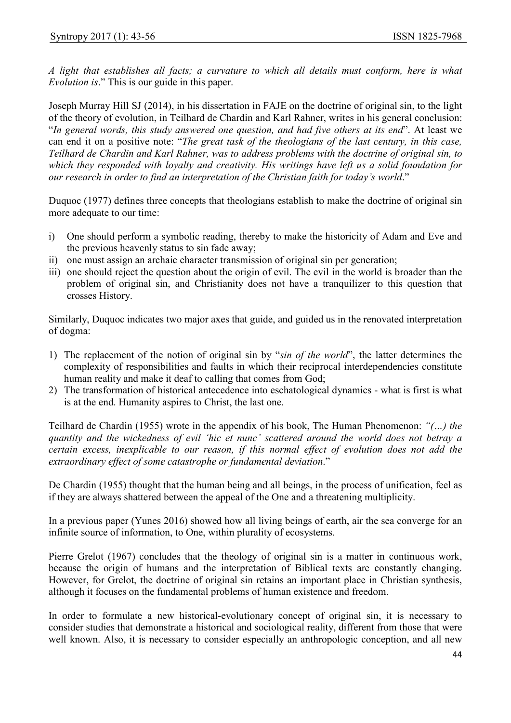A light that establishes all facts; a curvature to which all details must conform, here is what Evolution is." This is our guide in this paper.

Joseph Murray Hill SJ (2014), in his dissertation in FAJE on the doctrine of original sin, to the light of the theory of evolution, in Teilhard de Chardin and Karl Rahner, writes in his general conclusion: "In general words, this study answered one question, and had five others at its end". At least we can end it on a positive note: "The great task of the theologians of the last century, in this case, Teilhard de Chardin and Karl Rahner, was to address problems with the doctrine of original sin, to which they responded with loyalty and creativity. His writings have left us a solid foundation for our research in order to find an interpretation of the Christian faith for today's world."

Duquoc (1977) defines three concepts that theologians establish to make the doctrine of original sin more adequate to our time:

- i) One should perform a symbolic reading, thereby to make the historicity of Adam and Eve and the previous heavenly status to sin fade away;
- ii) one must assign an archaic character transmission of original sin per generation;
- iii) one should reject the question about the origin of evil. The evil in the world is broader than the problem of original sin, and Christianity does not have a tranquilizer to this question that crosses History.

Similarly, Duquoc indicates two major axes that guide, and guided us in the renovated interpretation of dogma:

- 1) The replacement of the notion of original sin by "sin of the world", the latter determines the complexity of responsibilities and faults in which their reciprocal interdependencies constitute human reality and make it deaf to calling that comes from God;
- 2) The transformation of historical antecedence into eschatological dynamics what is first is what is at the end. Humanity aspires to Christ, the last one.

Teilhard de Chardin (1955) wrote in the appendix of his book, The Human Phenomenon: "(…) the quantity and the wickedness of evil 'hic et nunc' scattered around the world does not betray a certain excess, inexplicable to our reason, if this normal effect of evolution does not add the extraordinary effect of some catastrophe or fundamental deviation."

De Chardin (1955) thought that the human being and all beings, in the process of unification, feel as if they are always shattered between the appeal of the One and a threatening multiplicity.

In a previous paper (Yunes 2016) showed how all living beings of earth, air the sea converge for an infinite source of information, to One, within plurality of ecosystems.

Pierre Grelot (1967) concludes that the theology of original sin is a matter in continuous work, because the origin of humans and the interpretation of Biblical texts are constantly changing. However, for Grelot, the doctrine of original sin retains an important place in Christian synthesis, although it focuses on the fundamental problems of human existence and freedom.

In order to formulate a new historical-evolutionary concept of original sin, it is necessary to consider studies that demonstrate a historical and sociological reality, different from those that were well known. Also, it is necessary to consider especially an anthropologic conception, and all new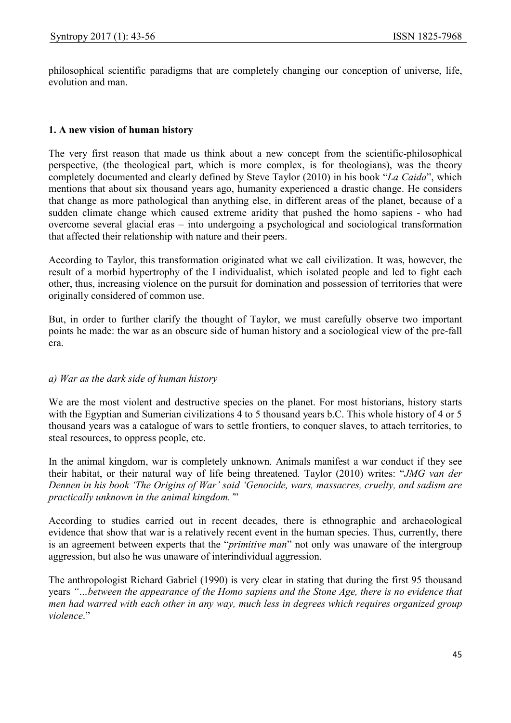philosophical scientific paradigms that are completely changing our conception of universe, life, evolution and man.

#### 1. A new vision of human history

The very first reason that made us think about a new concept from the scientific-philosophical perspective, (the theological part, which is more complex, is for theologians), was the theory completely documented and clearly defined by Steve Taylor (2010) in his book "La Caida", which mentions that about six thousand years ago, humanity experienced a drastic change. He considers that change as more pathological than anything else, in different areas of the planet, because of a sudden climate change which caused extreme aridity that pushed the homo sapiens - who had overcome several glacial eras – into undergoing a psychological and sociological transformation that affected their relationship with nature and their peers.

According to Taylor, this transformation originated what we call civilization. It was, however, the result of a morbid hypertrophy of the I individualist, which isolated people and led to fight each other, thus, increasing violence on the pursuit for domination and possession of territories that were originally considered of common use.

But, in order to further clarify the thought of Taylor, we must carefully observe two important points he made: the war as an obscure side of human history and a sociological view of the pre-fall era.

#### a) War as the dark side of human history

We are the most violent and destructive species on the planet. For most historians, history starts with the Egyptian and Sumerian civilizations 4 to 5 thousand years b.C. This whole history of 4 or 5 thousand years was a catalogue of wars to settle frontiers, to conquer slaves, to attach territories, to steal resources, to oppress people, etc.

In the animal kingdom, war is completely unknown. Animals manifest a war conduct if they see their habitat, or their natural way of life being threatened. Taylor (2010) writes: "JMG van der Dennen in his book 'The Origins of War' said 'Genocide, wars, massacres, cruelty, and sadism are practically unknown in the animal kingdom.'"

According to studies carried out in recent decades, there is ethnographic and archaeological evidence that show that war is a relatively recent event in the human species. Thus, currently, there is an agreement between experts that the "*primitive man*" not only was unaware of the intergroup aggression, but also he was unaware of interindividual aggression.

The anthropologist Richard Gabriel (1990) is very clear in stating that during the first 95 thousand years "…between the appearance of the Homo sapiens and the Stone Age, there is no evidence that men had warred with each other in any way, much less in degrees which requires organized group violence."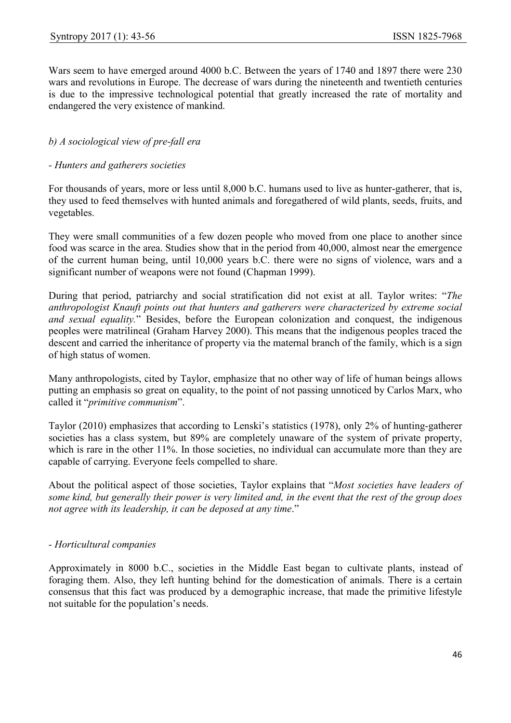Wars seem to have emerged around 4000 b.C. Between the years of 1740 and 1897 there were 230 wars and revolutions in Europe. The decrease of wars during the nineteenth and twentieth centuries is due to the impressive technological potential that greatly increased the rate of mortality and endangered the very existence of mankind.

# b) A sociological view of pre-fall era

#### - Hunters and gatherers societies

For thousands of years, more or less until 8,000 b.C. humans used to live as hunter-gatherer, that is, they used to feed themselves with hunted animals and foregathered of wild plants, seeds, fruits, and vegetables.

They were small communities of a few dozen people who moved from one place to another since food was scarce in the area. Studies show that in the period from 40,000, almost near the emergence of the current human being, until 10,000 years b.C. there were no signs of violence, wars and a significant number of weapons were not found (Chapman 1999).

During that period, patriarchy and social stratification did not exist at all. Taylor writes: "The anthropologist Knauft points out that hunters and gatherers were characterized by extreme social and sexual equality." Besides, before the European colonization and conquest, the indigenous peoples were matrilineal (Graham Harvey 2000). This means that the indigenous peoples traced the descent and carried the inheritance of property via the maternal branch of the family, which is a sign of high status of women.

Many anthropologists, cited by Taylor, emphasize that no other way of life of human beings allows putting an emphasis so great on equality, to the point of not passing unnoticed by Carlos Marx, who called it "primitive communism".

Taylor (2010) emphasizes that according to Lenski's statistics (1978), only 2% of hunting-gatherer societies has a class system, but 89% are completely unaware of the system of private property, which is rare in the other 11%. In those societies, no individual can accumulate more than they are capable of carrying. Everyone feels compelled to share.

About the political aspect of those societies, Taylor explains that "Most societies have leaders of some kind, but generally their power is very limited and, in the event that the rest of the group does not agree with its leadership, it can be deposed at any time."

## - Horticultural companies

Approximately in 8000 b.C., societies in the Middle East began to cultivate plants, instead of foraging them. Also, they left hunting behind for the domestication of animals. There is a certain consensus that this fact was produced by a demographic increase, that made the primitive lifestyle not suitable for the population's needs.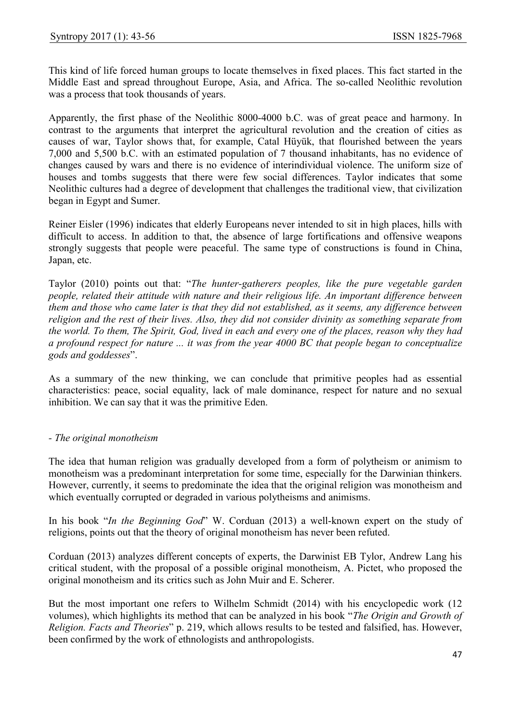This kind of life forced human groups to locate themselves in fixed places. This fact started in the Middle East and spread throughout Europe, Asia, and Africa. The so-called Neolithic revolution was a process that took thousands of years.

Apparently, the first phase of the Neolithic 8000-4000 b.C. was of great peace and harmony. In contrast to the arguments that interpret the agricultural revolution and the creation of cities as causes of war, Taylor shows that, for example, Catal Hüyük, that flourished between the years 7,000 and 5,500 b.C. with an estimated population of 7 thousand inhabitants, has no evidence of changes caused by wars and there is no evidence of interindividual violence. The uniform size of houses and tombs suggests that there were few social differences. Taylor indicates that some Neolithic cultures had a degree of development that challenges the traditional view, that civilization began in Egypt and Sumer.

Reiner Eisler (1996) indicates that elderly Europeans never intended to sit in high places, hills with difficult to access. In addition to that, the absence of large fortifications and offensive weapons strongly suggests that people were peaceful. The same type of constructions is found in China, Japan, etc.

Taylor (2010) points out that: "The hunter-gatherers peoples, like the pure vegetable garden people, related their attitude with nature and their religious life. An important difference between them and those who came later is that they did not established, as it seems, any difference between religion and the rest of their lives. Also, they did not consider divinity as something separate from the world. To them, The Spirit, God, lived in each and every one of the places, reason why they had a profound respect for nature ... it was from the year 4000 BC that people began to conceptualize gods and goddesses".

As a summary of the new thinking, we can conclude that primitive peoples had as essential characteristics: peace, social equality, lack of male dominance, respect for nature and no sexual inhibition. We can say that it was the primitive Eden.

## - The original monotheism

The idea that human religion was gradually developed from a form of polytheism or animism to monotheism was a predominant interpretation for some time, especially for the Darwinian thinkers. However, currently, it seems to predominate the idea that the original religion was monotheism and which eventually corrupted or degraded in various polytheisms and animisms.

In his book "In the Beginning God" W. Corduan (2013) a well-known expert on the study of religions, points out that the theory of original monotheism has never been refuted.

Corduan (2013) analyzes different concepts of experts, the Darwinist EB Tylor, Andrew Lang his critical student, with the proposal of a possible original monotheism, A. Pictet, who proposed the original monotheism and its critics such as John Muir and E. Scherer.

But the most important one refers to Wilhelm Schmidt (2014) with his encyclopedic work (12 volumes), which highlights its method that can be analyzed in his book "The Origin and Growth of Religion. Facts and Theories" p. 219, which allows results to be tested and falsified, has. However, been confirmed by the work of ethnologists and anthropologists.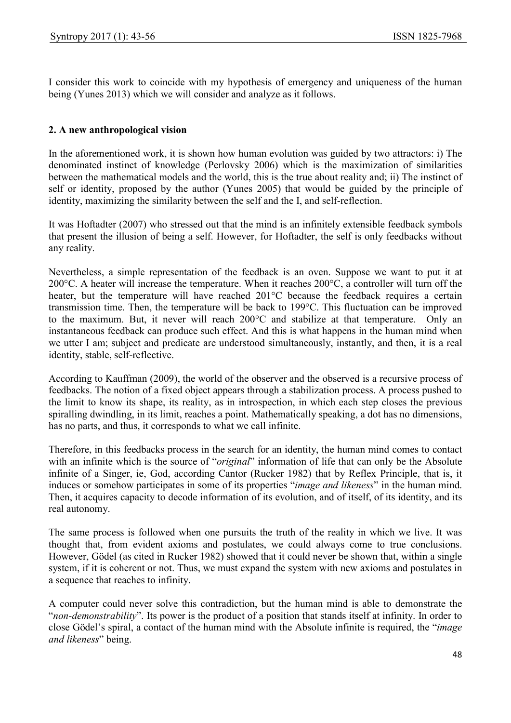I consider this work to coincide with my hypothesis of emergency and uniqueness of the human being (Yunes 2013) which we will consider and analyze as it follows.

# 2. A new anthropological vision

In the aforementioned work, it is shown how human evolution was guided by two attractors: i) The denominated instinct of knowledge (Perlovsky 2006) which is the maximization of similarities between the mathematical models and the world, this is the true about reality and; ii) The instinct of self or identity, proposed by the author (Yunes 2005) that would be guided by the principle of identity, maximizing the similarity between the self and the I, and self-reflection.

It was Hoftadter (2007) who stressed out that the mind is an infinitely extensible feedback symbols that present the illusion of being a self. However, for Hoftadter, the self is only feedbacks without any reality.

Nevertheless, a simple representation of the feedback is an oven. Suppose we want to put it at 200°C. A heater will increase the temperature. When it reaches 200°C, a controller will turn off the heater, but the temperature will have reached 201°C because the feedback requires a certain transmission time. Then, the temperature will be back to 199°C. This fluctuation can be improved to the maximum. But, it never will reach 200°C and stabilize at that temperature. Only an instantaneous feedback can produce such effect. And this is what happens in the human mind when we utter I am; subject and predicate are understood simultaneously, instantly, and then, it is a real identity, stable, self-reflective.

According to Kauffman (2009), the world of the observer and the observed is a recursive process of feedbacks. The notion of a fixed object appears through a stabilization process. A process pushed to the limit to know its shape, its reality, as in introspection, in which each step closes the previous spiralling dwindling, in its limit, reaches a point. Mathematically speaking, a dot has no dimensions, has no parts, and thus, it corresponds to what we call infinite.

Therefore, in this feedbacks process in the search for an identity, the human mind comes to contact with an infinite which is the source of "*original*" information of life that can only be the Absolute infinite of a Singer, ie, God, according Cantor (Rucker 1982) that by Reflex Principle, that is, it induces or somehow participates in some of its properties "image and likeness" in the human mind. Then, it acquires capacity to decode information of its evolution, and of itself, of its identity, and its real autonomy.

The same process is followed when one pursuits the truth of the reality in which we live. It was thought that, from evident axioms and postulates, we could always come to true conclusions. However, Gödel (as cited in Rucker 1982) showed that it could never be shown that, within a single system, if it is coherent or not. Thus, we must expand the system with new axioms and postulates in a sequence that reaches to infinity.

A computer could never solve this contradiction, but the human mind is able to demonstrate the "non-demonstrability". Its power is the product of a position that stands itself at infinity. In order to close Gödel's spiral, a contact of the human mind with the Absolute infinite is required, the "image and likeness" being.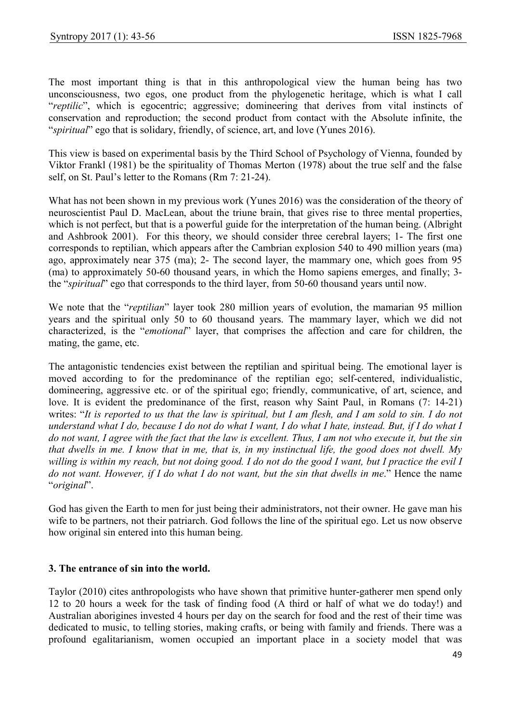The most important thing is that in this anthropological view the human being has two unconsciousness, two egos, one product from the phylogenetic heritage, which is what I call "reptilic", which is egocentric; aggressive; domineering that derives from vital instincts of conservation and reproduction; the second product from contact with the Absolute infinite, the "spiritual" ego that is solidary, friendly, of science, art, and love (Yunes 2016).

This view is based on experimental basis by the Third School of Psychology of Vienna, founded by Viktor Frankl (1981) be the spirituality of Thomas Merton (1978) about the true self and the false self, on St. Paul's letter to the Romans (Rm 7: 21-24).

What has not been shown in my previous work (Yunes 2016) was the consideration of the theory of neuroscientist Paul D. MacLean, about the triune brain, that gives rise to three mental properties, which is not perfect, but that is a powerful guide for the interpretation of the human being. (Albright and Ashbrook 2001). For this theory, we should consider three cerebral layers; 1- The first one corresponds to reptilian, which appears after the Cambrian explosion 540 to 490 million years (ma) ago, approximately near 375 (ma); 2- The second layer, the mammary one, which goes from 95 (ma) to approximately 50-60 thousand years, in which the Homo sapiens emerges, and finally; 3 the "*spiritual*" ego that corresponds to the third layer, from 50-60 thousand years until now.

We note that the "reptilian" layer took 280 million years of evolution, the mamarian 95 million years and the spiritual only 50 to 60 thousand years. The mammary layer, which we did not characterized, is the "emotional" layer, that comprises the affection and care for children, the mating, the game, etc.

The antagonistic tendencies exist between the reptilian and spiritual being. The emotional layer is moved according to for the predominance of the reptilian ego; self-centered, individualistic, domineering, aggressive etc. or of the spiritual ego; friendly, communicative, of art, science, and love. It is evident the predominance of the first, reason why Saint Paul, in Romans (7: 14-21) writes: "It is reported to us that the law is spiritual, but I am flesh, and I am sold to sin. I do not understand what I do, because I do not do what I want, I do what I hate, instead. But, if I do what I do not want, I agree with the fact that the law is excellent. Thus, I am not who execute it, but the sin that dwells in me. I know that in me, that is, in my instinctual life, the good does not dwell. My willing is within my reach, but not doing good. I do not do the good I want, but I practice the evil I do not want. However, if I do what I do not want, but the sin that dwells in me." Hence the name "original".

God has given the Earth to men for just being their administrators, not their owner. He gave man his wife to be partners, not their patriarch. God follows the line of the spiritual ego. Let us now observe how original sin entered into this human being.

#### 3. The entrance of sin into the world.

Taylor (2010) cites anthropologists who have shown that primitive hunter-gatherer men spend only 12 to 20 hours a week for the task of finding food (A third or half of what we do today!) and Australian aborigines invested 4 hours per day on the search for food and the rest of their time was dedicated to music, to telling stories, making crafts, or being with family and friends. There was a profound egalitarianism, women occupied an important place in a society model that was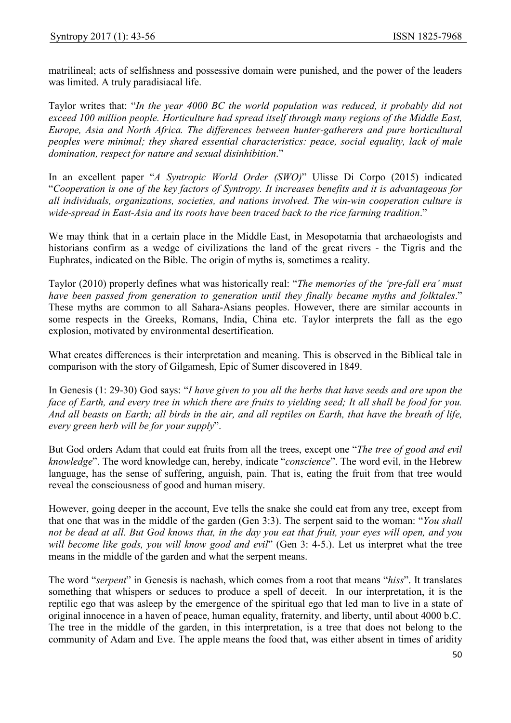matrilineal; acts of selfishness and possessive domain were punished, and the power of the leaders was limited. A truly paradisiacal life.

Taylor writes that: "In the year 4000 BC the world population was reduced, it probably did not exceed 100 million people. Horticulture had spread itself through many regions of the Middle East, Europe, Asia and North Africa. The differences between hunter-gatherers and pure horticultural peoples were minimal; they shared essential characteristics: peace, social equality, lack of male domination, respect for nature and sexual disinhibition."

In an excellent paper "A Syntropic World Order (SWO)" Ulisse Di Corpo (2015) indicated "Cooperation is one of the key factors of Syntropy. It increases benefits and it is advantageous for all individuals, organizations, societies, and nations involved. The win-win cooperation culture is wide-spread in East-Asia and its roots have been traced back to the rice farming tradition."

We may think that in a certain place in the Middle East, in Mesopotamia that archaeologists and historians confirm as a wedge of civilizations the land of the great rivers - the Tigris and the Euphrates, indicated on the Bible. The origin of myths is, sometimes a reality.

Taylor (2010) properly defines what was historically real: "The memories of the 'pre-fall era' must have been passed from generation to generation until they finally became myths and folktales." These myths are common to all Sahara-Asians peoples. However, there are similar accounts in some respects in the Greeks, Romans, India, China etc. Taylor interprets the fall as the ego explosion, motivated by environmental desertification.

What creates differences is their interpretation and meaning. This is observed in the Biblical tale in comparison with the story of Gilgamesh, Epic of Sumer discovered in 1849.

In Genesis (1: 29-30) God says: "I have given to you all the herbs that have seeds and are upon the face of Earth, and every tree in which there are fruits to yielding seed; It all shall be food for you. And all beasts on Earth; all birds in the air, and all reptiles on Earth, that have the breath of life, every green herb will be for your supply".

But God orders Adam that could eat fruits from all the trees, except one "The tree of good and evil knowledge". The word knowledge can, hereby, indicate "conscience". The word evil, in the Hebrew language, has the sense of suffering, anguish, pain. That is, eating the fruit from that tree would reveal the consciousness of good and human misery.

However, going deeper in the account, Eve tells the snake she could eat from any tree, except from that one that was in the middle of the garden (Gen 3:3). The serpent said to the woman: "You shall not be dead at all. But God knows that, in the day you eat that fruit, your eyes will open, and you will become like gods, you will know good and evil" (Gen 3: 4-5.). Let us interpret what the tree means in the middle of the garden and what the serpent means.

The word "serpent" in Genesis is nachash, which comes from a root that means "hiss". It translates something that whispers or seduces to produce a spell of deceit. In our interpretation, it is the reptilic ego that was asleep by the emergence of the spiritual ego that led man to live in a state of original innocence in a haven of peace, human equality, fraternity, and liberty, until about 4000 b.C. The tree in the middle of the garden, in this interpretation, is a tree that does not belong to the community of Adam and Eve. The apple means the food that, was either absent in times of aridity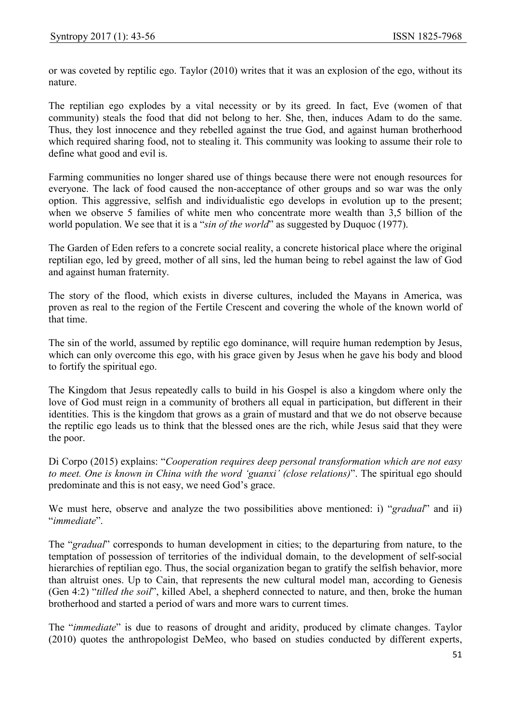or was coveted by reptilic ego. Taylor (2010) writes that it was an explosion of the ego, without its nature.

The reptilian ego explodes by a vital necessity or by its greed. In fact, Eve (women of that community) steals the food that did not belong to her. She, then, induces Adam to do the same. Thus, they lost innocence and they rebelled against the true God, and against human brotherhood which required sharing food, not to stealing it. This community was looking to assume their role to define what good and evil is.

Farming communities no longer shared use of things because there were not enough resources for everyone. The lack of food caused the non-acceptance of other groups and so war was the only option. This aggressive, selfish and individualistic ego develops in evolution up to the present; when we observe 5 families of white men who concentrate more wealth than 3,5 billion of the world population. We see that it is a "*sin of the world*" as suggested by Duquoc (1977).

The Garden of Eden refers to a concrete social reality, a concrete historical place where the original reptilian ego, led by greed, mother of all sins, led the human being to rebel against the law of God and against human fraternity.

The story of the flood, which exists in diverse cultures, included the Mayans in America, was proven as real to the region of the Fertile Crescent and covering the whole of the known world of that time.

The sin of the world, assumed by reptilic ego dominance, will require human redemption by Jesus, which can only overcome this ego, with his grace given by Jesus when he gave his body and blood to fortify the spiritual ego.

The Kingdom that Jesus repeatedly calls to build in his Gospel is also a kingdom where only the love of God must reign in a community of brothers all equal in participation, but different in their identities. This is the kingdom that grows as a grain of mustard and that we do not observe because the reptilic ego leads us to think that the blessed ones are the rich, while Jesus said that they were the poor.

Di Corpo (2015) explains: "Cooperation requires deep personal transformation which are not easy to meet. One is known in China with the word 'guanxi' (close relations)". The spiritual ego should predominate and this is not easy, we need God's grace.

We must here, observe and analyze the two possibilities above mentioned: i) "gradual" and ii) "immediate".

The "gradual" corresponds to human development in cities; to the departuring from nature, to the temptation of possession of territories of the individual domain, to the development of self-social hierarchies of reptilian ego. Thus, the social organization began to gratify the selfish behavior, more than altruist ones. Up to Cain, that represents the new cultural model man, according to Genesis (Gen 4:2) "tilled the soil", killed Abel, a shepherd connected to nature, and then, broke the human brotherhood and started a period of wars and more wars to current times.

The "immediate" is due to reasons of drought and aridity, produced by climate changes. Taylor (2010) quotes the anthropologist DeMeo, who based on studies conducted by different experts,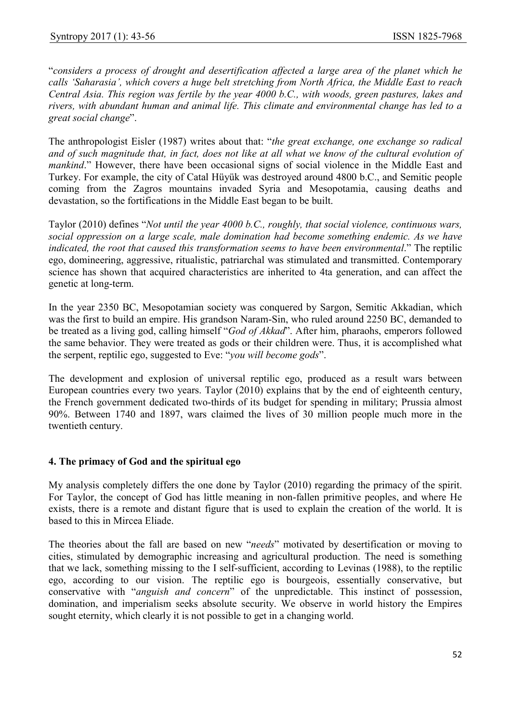"considers a process of drought and desertification affected a large area of the planet which he calls 'Saharasia', which covers a huge belt stretching from North Africa, the Middle East to reach Central Asia. This region was fertile by the year 4000 b.C., with woods, green pastures, lakes and rivers, with abundant human and animal life. This climate and environmental change has led to a great social change".

The anthropologist Eisler (1987) writes about that: "the great exchange, one exchange so radical and of such magnitude that, in fact, does not like at all what we know of the cultural evolution of mankind." However, there have been occasional signs of social violence in the Middle East and Turkey. For example, the city of Catal Hüyük was destroyed around 4800 b.C., and Semitic people coming from the Zagros mountains invaded Syria and Mesopotamia, causing deaths and devastation, so the fortifications in the Middle East began to be built.

Taylor (2010) defines "Not until the year 4000 b.C., roughly, that social violence, continuous wars, social oppression on a large scale, male domination had become something endemic. As we have indicated, the root that caused this transformation seems to have been environmental." The reptilic ego, domineering, aggressive, ritualistic, patriarchal was stimulated and transmitted. Contemporary science has shown that acquired characteristics are inherited to 4ta generation, and can affect the genetic at long-term.

In the year 2350 BC, Mesopotamian society was conquered by Sargon, Semitic Akkadian, which was the first to build an empire. His grandson Naram-Sin, who ruled around 2250 BC, demanded to be treated as a living god, calling himself "God of Akkad". After him, pharaohs, emperors followed the same behavior. They were treated as gods or their children were. Thus, it is accomplished what the serpent, reptilic ego, suggested to Eve: "you will become gods".

The development and explosion of universal reptilic ego, produced as a result wars between European countries every two years. Taylor (2010) explains that by the end of eighteenth century, the French government dedicated two-thirds of its budget for spending in military; Prussia almost 90%. Between 1740 and 1897, wars claimed the lives of 30 million people much more in the twentieth century.

## 4. The primacy of God and the spiritual ego

My analysis completely differs the one done by Taylor (2010) regarding the primacy of the spirit. For Taylor, the concept of God has little meaning in non-fallen primitive peoples, and where He exists, there is a remote and distant figure that is used to explain the creation of the world. It is based to this in Mircea Eliade.

The theories about the fall are based on new "needs" motivated by desertification or moving to cities, stimulated by demographic increasing and agricultural production. The need is something that we lack, something missing to the I self-sufficient, according to Levinas (1988), to the reptilic ego, according to our vision. The reptilic ego is bourgeois, essentially conservative, but conservative with "anguish and concern" of the unpredictable. This instinct of possession, domination, and imperialism seeks absolute security. We observe in world history the Empires sought eternity, which clearly it is not possible to get in a changing world.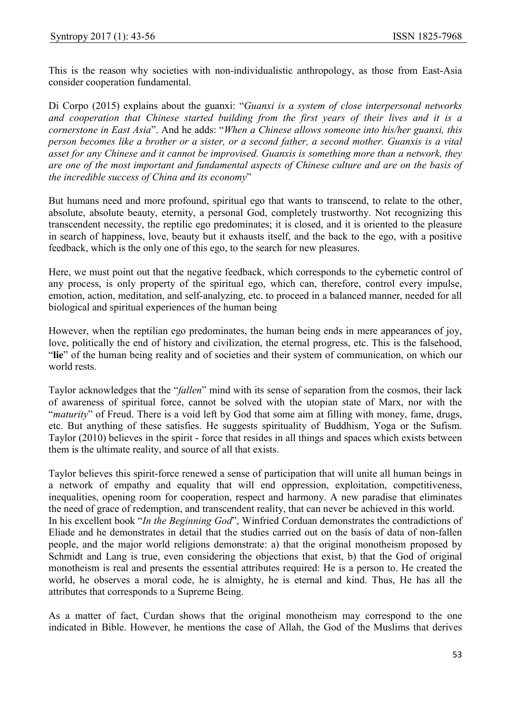This is the reason why societies with non-individualistic anthropology, as those from East-Asia consider cooperation fundamental.

Di Corpo (2015) explains about the guanxi: "Guanxi is a system of close interpersonal networks and cooperation that Chinese started building from the first years of their lives and it is a cornerstone in East Asia". And he adds: "When a Chinese allows someone into his/her guanxi, this person becomes like a brother or a sister, or a second father, a second mother. Guanxis is a vital asset for any Chinese and it cannot be improvised. Guanxis is something more than a network, they are one of the most important and fundamental aspects of Chinese culture and are on the basis of the incredible success of China and its economy"

But humans need and more profound, spiritual ego that wants to transcend, to relate to the other, absolute, absolute beauty, eternity, a personal God, completely trustworthy. Not recognizing this transcendent necessity, the reptilic ego predominates; it is closed, and it is oriented to the pleasure in search of happiness, love, beauty but it exhausts itself, and the back to the ego, with a positive feedback, which is the only one of this ego, to the search for new pleasures.

Here, we must point out that the negative feedback, which corresponds to the cybernetic control of any process, is only property of the spiritual ego, which can, therefore, control every impulse, emotion, action, meditation, and self-analyzing, etc. to proceed in a balanced manner, needed for all biological and spiritual experiences of the human being

However, when the reptilian ego predominates, the human being ends in mere appearances of joy, love, politically the end of history and civilization, the eternal progress, etc. This is the falsehood, "lie" of the human being reality and of societies and their system of communication, on which our world rests.

Taylor acknowledges that the "*fallen*" mind with its sense of separation from the cosmos, their lack of awareness of spiritual force, cannot be solved with the utopian state of Marx, nor with the "maturity" of Freud. There is a void left by God that some aim at filling with money, fame, drugs, etc. But anything of these satisfies. He suggests spirituality of Buddhism, Yoga or the Sufism. Taylor (2010) believes in the spirit - force that resides in all things and spaces which exists between them is the ultimate reality, and source of all that exists.

Taylor believes this spirit-force renewed a sense of participation that will unite all human beings in a network of empathy and equality that will end oppression, exploitation, competitiveness, inequalities, opening room for cooperation, respect and harmony. A new paradise that eliminates the need of grace of redemption, and transcendent reality, that can never be achieved in this world. In his excellent book "In the Beginning God", Winfried Corduan demonstrates the contradictions of Eliade and he demonstrates in detail that the studies carried out on the basis of data of non-fallen people, and the major world religions demonstrate: a) that the original monotheism proposed by Schmidt and Lang is true, even considering the objections that exist, b) that the God of original monotheism is real and presents the essential attributes required: He is a person to. He created the world, he observes a moral code, he is almighty, he is eternal and kind. Thus, He has all the attributes that corresponds to a Supreme Being.

As a matter of fact, Curdan shows that the original monotheism may correspond to the one indicated in Bible. However, he mentions the case of Allah, the God of the Muslims that derives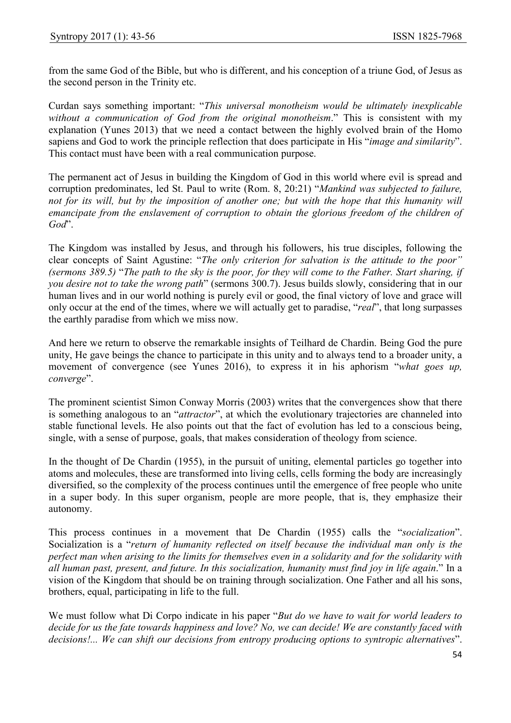from the same God of the Bible, but who is different, and his conception of a triune God, of Jesus as the second person in the Trinity etc.

Curdan says something important: "This universal monotheism would be ultimately inexplicable without a communication of God from the original monotheism." This is consistent with my explanation (Yunes 2013) that we need a contact between the highly evolved brain of the Homo sapiens and God to work the principle reflection that does participate in His "*image and similarity*". This contact must have been with a real communication purpose.

The permanent act of Jesus in building the Kingdom of God in this world where evil is spread and corruption predominates, led St. Paul to write (Rom. 8, 20:21) "Mankind was subjected to failure, not for its will, but by the imposition of another one; but with the hope that this humanity will emancipate from the enslavement of corruption to obtain the glorious freedom of the children of God".

The Kingdom was installed by Jesus, and through his followers, his true disciples, following the clear concepts of Saint Agustine: "The only criterion for salvation is the attitude to the poor" (sermons 389.5) "The path to the sky is the poor, for they will come to the Father. Start sharing, if you desire not to take the wrong path" (sermons 300.7). Jesus builds slowly, considering that in our human lives and in our world nothing is purely evil or good, the final victory of love and grace will only occur at the end of the times, where we will actually get to paradise, "real", that long surpasses the earthly paradise from which we miss now.

And here we return to observe the remarkable insights of Teilhard de Chardin. Being God the pure unity, He gave beings the chance to participate in this unity and to always tend to a broader unity, a movement of convergence (see Yunes 2016), to express it in his aphorism "what goes up, converge".

The prominent scientist Simon Conway Morris (2003) writes that the convergences show that there is something analogous to an "attractor", at which the evolutionary trajectories are channeled into stable functional levels. He also points out that the fact of evolution has led to a conscious being, single, with a sense of purpose, goals, that makes consideration of theology from science.

In the thought of De Chardin (1955), in the pursuit of uniting, elemental particles go together into atoms and molecules, these are transformed into living cells, cells forming the body are increasingly diversified, so the complexity of the process continues until the emergence of free people who unite in a super body. In this super organism, people are more people, that is, they emphasize their autonomy.

This process continues in a movement that De Chardin (1955) calls the "socialization". Socialization is a "return of humanity reflected on itself because the individual man only is the perfect man when arising to the limits for themselves even in a solidarity and for the solidarity with all human past, present, and future. In this socialization, humanity must find joy in life again." In a vision of the Kingdom that should be on training through socialization. One Father and all his sons, brothers, equal, participating in life to the full.

We must follow what Di Corpo indicate in his paper "But do we have to wait for world leaders to decide for us the fate towards happiness and love? No, we can decide! We are constantly faced with decisions!... We can shift our decisions from entropy producing options to syntropic alternatives".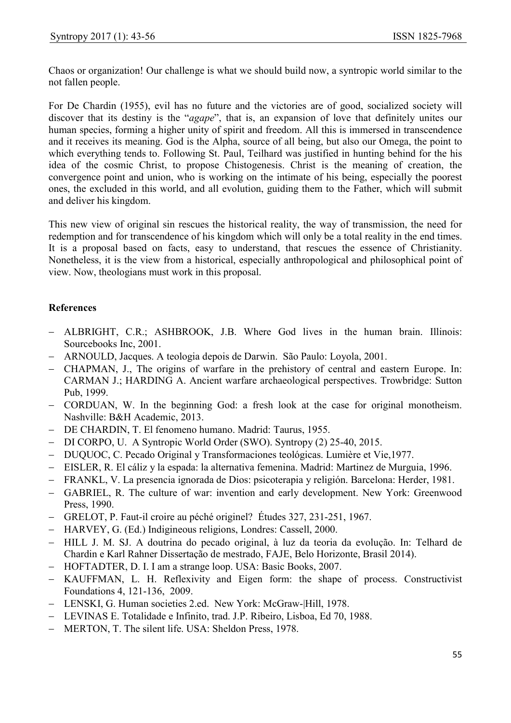Chaos or organization! Our challenge is what we should build now, a syntropic world similar to the not fallen people.

For De Chardin (1955), evil has no future and the victories are of good, socialized society will discover that its destiny is the "*agape*", that is, an expansion of love that definitely unites our human species, forming a higher unity of spirit and freedom. All this is immersed in transcendence and it receives its meaning. God is the Alpha, source of all being, but also our Omega, the point to which everything tends to. Following St. Paul, Teilhard was justified in hunting behind for the his idea of the cosmic Christ, to propose Chistogenesis. Christ is the meaning of creation, the convergence point and union, who is working on the intimate of his being, especially the poorest ones, the excluded in this world, and all evolution, guiding them to the Father, which will submit and deliver his kingdom.

This new view of original sin rescues the historical reality, the way of transmission, the need for redemption and for transcendence of his kingdom which will only be a total reality in the end times. It is a proposal based on facts, easy to understand, that rescues the essence of Christianity. Nonetheless, it is the view from a historical, especially anthropological and philosophical point of view. Now, theologians must work in this proposal.

## References

- ALBRIGHT, C.R.; ASHBROOK, J.B. Where God lives in the human brain. Illinois: Sourcebooks Inc, 2001.
- ARNOULD, Jacques. A teologia depois de Darwin. São Paulo: Loyola, 2001.
- CHAPMAN, J., The origins of warfare in the prehistory of central and eastern Europe. In: CARMAN J.; HARDING A. Ancient warfare archaeological perspectives. Trowbridge: Sutton Pub, 1999.
- CORDUAN, W. In the beginning God: a fresh look at the case for original monotheism. Nashville: B&H Academic, 2013.
- DE CHARDIN, T. El fenomeno humano. Madrid: Taurus, 1955.
- DI CORPO, U. A Syntropic World Order (SWO). Syntropy (2) 25-40, 2015.
- DUQUOC, C. Pecado Original y Transformaciones teológicas. Lumière et Vie,1977.
- EISLER, R. El cáliz y la espada: la alternativa femenina. Madrid: Martinez de Murguia, 1996.
- FRANKL, V. La presencia ignorada de Dios: psicoterapia y religión. Barcelona: Herder, 1981.
- GABRIEL, R. The culture of war: invention and early development. New York: Greenwood Press, 1990.
- GRELOT, P. Faut-il croire au péché originel? Études 327, 231-251, 1967.
- HARVEY, G. (Ed.) Indigineous religions, Londres: Cassell, 2000.
- HILL J. M. SJ. A doutrina do pecado original, à luz da teoria da evolução. In: Telhard de Chardin e Karl Rahner Dissertação de mestrado, FAJE, Belo Horizonte, Brasil 2014).
- HOFTADTER, D. I. I am a strange loop. USA: Basic Books, 2007.
- KAUFFMAN, L. H. Reflexivity and Eigen form: the shape of process. Constructivist Foundations 4, 121-136, 2009.
- LENSKI, G. Human societies 2.ed. New York: McGraw-|Hill, 1978.
- LEVINAS E. Totalidade e Infinito, trad. J.P. Ribeiro, Lisboa, Ed 70, 1988.
- MERTON, T. The silent life. USA: Sheldon Press, 1978.